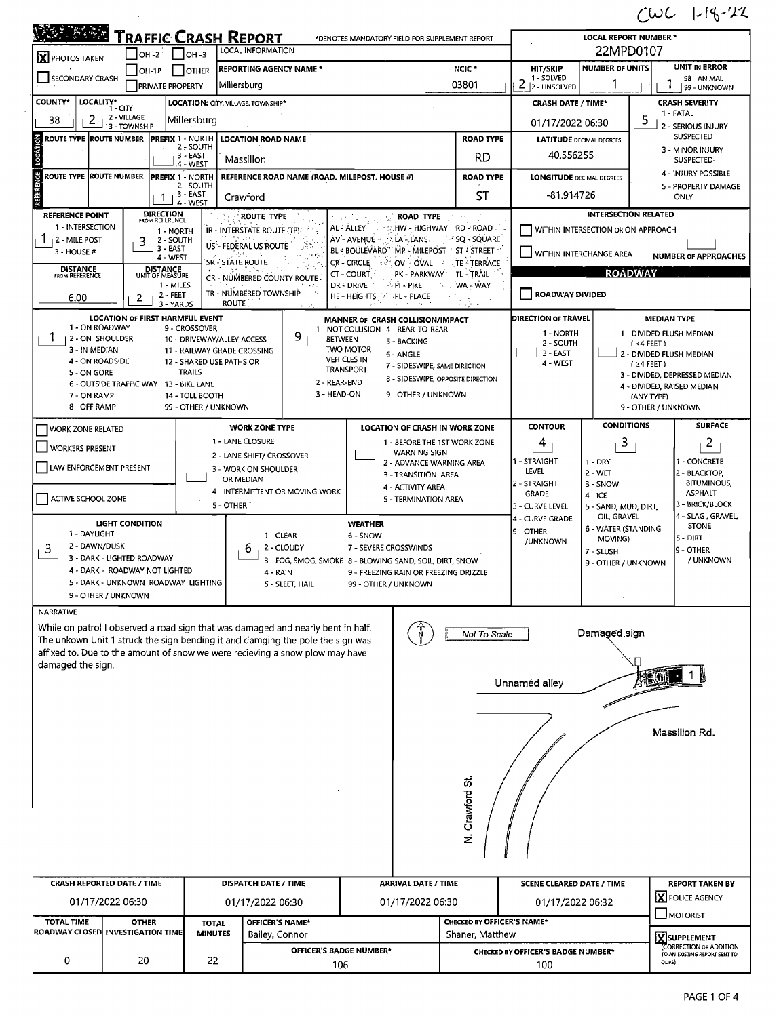## $1002 + 19 - 22$

|                                                                                     | <b>TRAFFIC CRASH REPORT</b>                                |                                             |                                                                                                                                                                | *DENOTES MANDATORY FIELD FOR SUPPLEMENT REPORT                          |                                                    |                                    | <b>LOCAL REPORT NUMBER *</b>                 |                                                                              |  |  |
|-------------------------------------------------------------------------------------|------------------------------------------------------------|---------------------------------------------|----------------------------------------------------------------------------------------------------------------------------------------------------------------|-------------------------------------------------------------------------|----------------------------------------------------|------------------------------------|----------------------------------------------|------------------------------------------------------------------------------|--|--|
| LOCAL INFORMATION<br>$\Box$ OH-2 $\Box$ OH-3<br>X PHOTOS TAKEN<br>NCIC <sup>+</sup> |                                                            |                                             |                                                                                                                                                                |                                                                         |                                                    |                                    | 22MPD0107                                    |                                                                              |  |  |
| <b>SECONDARY CRASH</b>                                                              | $OH-1P$<br><b>PRIVATE PROPERTY</b>                         | $\Box$ other                                | <b>REPORTING AGENCY NAME *</b><br>Millersburg                                                                                                                  | 03801                                                                   | <b>HIT/SKIP</b><br>1 - SOLVED<br>2<br>2 - UNSOLVED | <b>NUMBER OF UNITS</b>             | UNIT IN ERROR<br>98 - ANIMAL<br>99 - UNKNOWN |                                                                              |  |  |
| <b>COUNTY*</b>                                                                      | LOCALITY* CITY                                             | LOCATION: CITY. VILLAGE. TOWNSHIP*          |                                                                                                                                                                |                                                                         |                                                    | <b>CRASH DATE / TIME*</b>          |                                              | <b>CRASH SEVERITY</b>                                                        |  |  |
| 38<br>2                                                                             | 2 - VILLAGE<br>3 - TOWNSHIP                                | Millersburg                                 |                                                                                                                                                                |                                                                         |                                                    | 01/17/2022 06:30                   |                                              | 1 - FATAL<br>5                                                               |  |  |
| ROUTE TYPE  ROUTE NUMBER                                                            | <b>PREFIX 1 - NORTH</b>                                    |                                             | <b>LOCATION ROAD NAME</b>                                                                                                                                      |                                                                         | <b>ROAD TYPE</b>                                   | <b>LATITUDE DECIMAL DEGREES</b>    |                                              | 2 - SERIOUS INJURY<br><b>SUSPECTED</b>                                       |  |  |
|                                                                                     |                                                            | $2 -$ SOUTH<br>3 - EAST                     | Massillon                                                                                                                                                      |                                                                         | <b>RD</b>                                          | 40.556255                          |                                              | 3 - MINOR INJURY<br>SUSPECTED-<br>4 - INJURY POSSIBLE<br>5 - PROPERTY DAMAGE |  |  |
|                                                                                     |                                                            | 4 - WEST                                    |                                                                                                                                                                |                                                                         |                                                    |                                    |                                              |                                                                              |  |  |
| Ů<br>ROUTE TYPE ROUTE NUMBER                                                        | <b>PREFIX 1 - NORTH</b>                                    | 2 - SOUTH                                   | REFERENCE ROAD NAME (ROAD, MILEPOST, HOUSE #)                                                                                                                  |                                                                         | <b>ROAD TYPE</b>                                   | <b>LONGITUDE DECIMAL DEGREES</b>   |                                              |                                                                              |  |  |
|                                                                                     | 1                                                          | 3 - EAST<br>4 - WEST                        | Crawford                                                                                                                                                       |                                                                         | <b>ST</b>                                          | -81.914726                         |                                              | ONLY                                                                         |  |  |
| <b>REFERENCE POINT</b>                                                              | <b>DIRECTION</b><br>FROM REFERENCE                         |                                             | <b>ROUTE TYPE</b>                                                                                                                                              | <b>ROAD TYPE</b>                                                        |                                                    |                                    | <b>INTERSECTION RELATED</b>                  |                                                                              |  |  |
| 1 - INTERSECTION<br>$11$ 2 - MILE POST                                              | 1 - NORTH<br>2 - SOUTH<br>3                                |                                             | IR - INTERSTATE ROUTE (TP)<br><b>SAME</b>                                                                                                                      | HW - HIGHWAY RD - ROAD<br>AL - ALLEY<br>LA - LANE<br>AV - AVENUE        | SQ - SQUARE                                        |                                    | WITHIN INTERSECTION OR ON APPROACH           |                                                                              |  |  |
| 3 - HOUSE #                                                                         | 3 - EAST<br>4 - WEST                                       |                                             | US - FEDERAL US ROUTE                                                                                                                                          | BL BOULEVARD" MP - MILEPOST ST - STREET                                 |                                                    | <b>WITHIN INTERCHANGE AREA</b>     |                                              | <b>NUMBER OF APPROACHES</b>                                                  |  |  |
| <b>DISTANCE</b><br>FROM REFERENCE                                                   | <b>DISTANCE</b><br>UNIT OF MEASURE                         | SR - STATE ROUTE                            |                                                                                                                                                                | CR-CIRCLE 32<br>OV OVAL -<br>- PK = PARKWAY<br>CT - COURT               | <b>TE - TERRACE</b><br>TL - TRAIL                  |                                    | <b>ROADWAY</b>                               |                                                                              |  |  |
|                                                                                     | 1 - MILES                                                  |                                             | CR - NUMBERED COUNTY ROUTE                                                                                                                                     | DR - DRIVE<br>$\rightarrow$ PI - PIKE                                   | . WA - WAY                                         |                                    |                                              |                                                                              |  |  |
| 6.00                                                                                | 2 - FEET<br>2<br>3 - YARDS                                 | ROUTE.                                      | TR - NUMBERED TOWNSHIP                                                                                                                                         | HE - HEIGHTS A PL - PLACE                                               |                                                    | ROADWAY DIVIDED                    |                                              |                                                                              |  |  |
|                                                                                     | <b>LOCATION OF FIRST HARMFUL EVENT</b>                     |                                             |                                                                                                                                                                | MANNER OF CRASH COLLISION/IMPACT                                        |                                                    | DIRECTION OF TRAVEL                |                                              | <b>MEDIAN TYPE</b>                                                           |  |  |
| 1 - ON ROADWAY<br>1.<br>  2 - ON SHOULDER                                           |                                                            | 9 - CROSSOVER<br>10 - DRIVEWAY/ALLEY ACCESS | 9                                                                                                                                                              | 1 - NOT COLLISION 4 - REAR-TO-REAR<br><b>BETWEEN</b><br>5 - BACKING     |                                                    | 1 - NORTH                          |                                              | 1 - DIVIDED FLUSH MEDIAN                                                     |  |  |
| 3 - IN MEDIAN                                                                       |                                                            | 11 - RAILWAY GRADE CROSSING                 |                                                                                                                                                                | <b>TWO MOTOR</b><br>6 - ANGLE                                           |                                                    | 2 - SOUTH<br>3 - EAST              |                                              | $($ <4 FEET $)$<br>2 - DIVIDED FLUSH MEDIAN                                  |  |  |
| 4 - ON ROADSIDE<br>5 - ON GORE                                                      |                                                            | 12 - SHARED USE PATHS OR<br><b>TRAILS</b>   |                                                                                                                                                                | <b>VEHICLES IN</b><br>7 - SIDESWIPE, SAME DIRECTION<br><b>TRANSPORT</b> |                                                    | 4 - WEST                           |                                              | $(24$ FEET)<br>3 - DIVIDED, DEPRESSED MEDIAN                                 |  |  |
|                                                                                     | 6 - OUTSIDE TRAFFIC WAY 13 - BIKE LANE                     |                                             |                                                                                                                                                                | 8 - SIDESWIPE, OPPOSITE DIRECTION<br>2 - REAR-END                       |                                                    |                                    |                                              | 4 - DIVIDED, RAISED MEDIAN                                                   |  |  |
| 7 - ON RAMP<br>8 - OFF RAMP                                                         |                                                            | 14 - TOLL BOOTH<br>99 - OTHER / UNKNOWN     |                                                                                                                                                                | 3 - HEAD-ON<br>9 - OTHER / UNKNOWN                                      |                                                    |                                    |                                              | (ANY TYPE)<br>9 - OTHER / UNKNOWN                                            |  |  |
|                                                                                     |                                                            |                                             | <b>WORK ZONE TYPE</b>                                                                                                                                          | LOCATION OF CRASH IN WORK ZONE                                          |                                                    | <b>CONTOUR</b>                     | <b>CONDITIONS</b>                            | <b>SURFACE</b>                                                               |  |  |
| WORK ZONE RELATED                                                                   |                                                            |                                             | 1 - LANE CLOSURE                                                                                                                                               | 1 - BEFORE THE 1ST WORK ZONE                                            |                                                    | 4                                  | 3                                            | $\overline{2}$                                                               |  |  |
| <b>WORKERS PRESENT</b>                                                              |                                                            |                                             | 2 - LANE SHIFT/ CROSSOVER                                                                                                                                      | <b>WARNING SIGN</b>                                                     |                                                    | 1 - STRAIGHT                       |                                              | 1 - CONCRETE                                                                 |  |  |
| LAW ENFORCEMENT PRESENT                                                             |                                                            |                                             | 3 - WORK ON SHOULDER                                                                                                                                           | 2 - ADVANCE WARNING AREA<br>3 - TRANSITION AREA                         |                                                    | LEVEL                              | $1 - DRY$<br>2 - WET                         | 2 - BLACKTOP,                                                                |  |  |
|                                                                                     |                                                            |                                             | OR MEDIAN<br>4 - INTERMITTENT OR MOVING WORK                                                                                                                   | 4 - ACTIVITY AREA                                                       |                                                    | 2 - STRAIGHT<br><b>GRADE</b>       | 3 - SNOW                                     | <b>BITUMINOUS,</b><br><b>ASPHALT</b>                                         |  |  |
| ACTIVE SCHOOL ZONE                                                                  |                                                            | 5 - OTHER                                   |                                                                                                                                                                | 5 - TERMINATION AREA                                                    |                                                    | 3 - CURVE LEVEL                    | $4 - ICE$<br>5 - SAND, MUD, DIRT,            | 3 - BRICK/BLOCK                                                              |  |  |
|                                                                                     | LIGHT CONDITION                                            |                                             |                                                                                                                                                                | <b>WEATHER</b>                                                          |                                                    | 4 - CURVE GRADE                    | OIL, GRAVEL<br>6 - WATER (STANDING,          | 4 - SLAG, GRAVEL<br><b>STONE</b>                                             |  |  |
| 1 - DAYLIGHT<br>2 - DAWN/DUSK                                                       |                                                            |                                             | 1 - CLEAR<br>2 - CLOUDY                                                                                                                                        | 6 - SNOW<br>7 - SEVERE CROSSWINDS                                       |                                                    | 9 - OTHER<br>/UNKNOWN              | MOVING)                                      | 5 - DIRT                                                                     |  |  |
| 3                                                                                   | 3 - DARK - LIGHTED ROADWAY                                 |                                             | 6                                                                                                                                                              | 3 - FOG, SMOG, SMOKE 8 - BLOWING SAND, SOIL, DIRT, SNOW                 |                                                    |                                    | 7 - SLUSH<br>9 - OTHER / UNKNOWN             | 9 - OTHER<br>/ UNKNOWN                                                       |  |  |
|                                                                                     | 4 - DARK - ROADWAY NOT LIGHTED                             |                                             | 4 - RAIN                                                                                                                                                       | 9 - FREEZING RAIN OR FREEZING DRIZZLE                                   |                                                    |                                    |                                              |                                                                              |  |  |
|                                                                                     | 5 - DARK - UNKNOWN ROADWAY LIGHTING<br>9 - OTHER / UNKNOWN |                                             | 5 - SLEET, HAIL                                                                                                                                                | 99 - OTHER / UNKNOWN                                                    |                                                    |                                    |                                              |                                                                              |  |  |
|                                                                                     |                                                            |                                             |                                                                                                                                                                |                                                                         |                                                    |                                    |                                              |                                                                              |  |  |
| <b>NARRATIVE</b>                                                                    |                                                            |                                             | While on patrol I observed a road sign that was damaged and nearly bent in half.                                                                               |                                                                         |                                                    |                                    | Damaged sign                                 |                                                                              |  |  |
| damaged the sign.                                                                   |                                                            |                                             | The unkown Unit 1 struck the sign bending it and damging the pole the sign was<br>affixed to. Due to the amount of snow we were recieving a snow plow may have |                                                                         | Not To Scale                                       |                                    |                                              |                                                                              |  |  |
|                                                                                     |                                                            |                                             |                                                                                                                                                                |                                                                         |                                                    | Unnamed alley                      |                                              |                                                                              |  |  |
|                                                                                     |                                                            |                                             |                                                                                                                                                                |                                                                         |                                                    |                                    |                                              |                                                                              |  |  |
|                                                                                     |                                                            |                                             |                                                                                                                                                                |                                                                         |                                                    |                                    |                                              | Massillon Rd.                                                                |  |  |
|                                                                                     |                                                            |                                             |                                                                                                                                                                |                                                                         |                                                    |                                    |                                              |                                                                              |  |  |
|                                                                                     |                                                            |                                             |                                                                                                                                                                |                                                                         |                                                    |                                    |                                              |                                                                              |  |  |
|                                                                                     |                                                            |                                             |                                                                                                                                                                |                                                                         | N. Crawford St                                     |                                    |                                              |                                                                              |  |  |
|                                                                                     | <b>CRASH REPORTED DATE / TIME</b>                          |                                             | DISPATCH DATE / TIME                                                                                                                                           | <b>ARRIVAL DATE / TIME</b>                                              |                                                    | <b>SCENE CLEARED DATE / TIME</b>   |                                              | <b>REPORT TAKEN BY</b>                                                       |  |  |
|                                                                                     | 01/17/2022 06:30                                           |                                             | 01/17/2022 06:30                                                                                                                                               | 01/17/2022 06:30                                                        |                                                    | 01/17/2022 06:32                   |                                              | X POLICE AGENCY                                                              |  |  |
| <b>TOTAL TIME</b>                                                                   | <b>OTHER</b><br>ROADWAY CLOSED INVESTIGATION TIME          | <b>TOTAL</b><br><b>MINUTES</b>              | OFFICER'S NAME*<br>Bailey, Connor                                                                                                                              |                                                                         | CHECKED BY OFFICER'S NAME*<br>Shaner, Matthew      |                                    |                                              | MOTORIST                                                                     |  |  |
| 0                                                                                   | 20                                                         | 22                                          |                                                                                                                                                                | <b>OFFICER'S BADGE NUMBER*</b>                                          |                                                    | CHECKED BY OFFICER'S BADGE NUMBER* |                                              | XSUPPLEMENT<br>(CORRECTION OR ADDITION<br>TO AN EXISTING REPORT SENT TO      |  |  |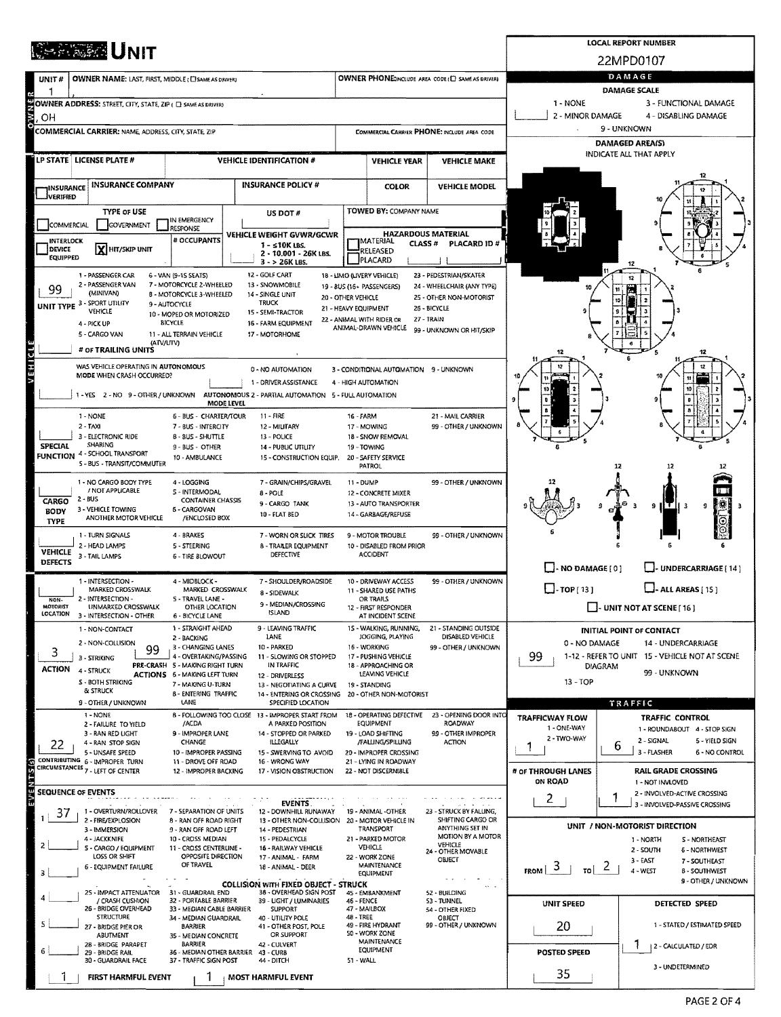| <b>REPAIRE UNIT</b>                                                                    |                                                                                                                                                                                                                                  | <b>LOCAL REPORT NUMBER</b>                                                                        |                                                                 |                                                                    |                                                                 |                                       |                                                                      |  |  |  |  |
|----------------------------------------------------------------------------------------|----------------------------------------------------------------------------------------------------------------------------------------------------------------------------------------------------------------------------------|---------------------------------------------------------------------------------------------------|-----------------------------------------------------------------|--------------------------------------------------------------------|-----------------------------------------------------------------|---------------------------------------|----------------------------------------------------------------------|--|--|--|--|
|                                                                                        |                                                                                                                                                                                                                                  | 22MPD0107                                                                                         |                                                                 |                                                                    |                                                                 |                                       |                                                                      |  |  |  |  |
| OWNER NAME: LAST, FIRST, MIDDLE (C) SAME AS DRIVER!<br>UNIT#                           |                                                                                                                                                                                                                                  | DAMAGE<br>DAMAGE SCALE                                                                            |                                                                 |                                                                    |                                                                 |                                       |                                                                      |  |  |  |  |
| ę<br>OWNER ADDRESS: STREET, CITY, STATE, ZIP ( C) SAME AS DRIVER)                      |                                                                                                                                                                                                                                  | 1 - NONE<br>3 - FUNCTIONAL DAMAGE                                                                 |                                                                 |                                                                    |                                                                 |                                       |                                                                      |  |  |  |  |
| o w<br>ОH                                                                              |                                                                                                                                                                                                                                  | 2 - MINOR DAMAGE<br>4 - DISABLING DAMAGE<br>9 - UNKNOWN                                           |                                                                 |                                                                    |                                                                 |                                       |                                                                      |  |  |  |  |
| <b>COMMERCIAL CARRIER: NAME, ADDRESS, CITY, STATE, ZIP</b>                             |                                                                                                                                                                                                                                  |                                                                                                   | COMMERCIAL CARRIER PHONE: INCLUDE AREA CODE                     |                                                                    |                                                                 | <b>DAMAGED AREA(S)</b>                |                                                                      |  |  |  |  |
| LP STATE LICENSE PLATE #                                                               |                                                                                                                                                                                                                                  | <b>VEHICLE IDENTIFICATION #</b>                                                                   |                                                                 | <b>VEHICLE YEAR</b>                                                | <b>VEHICLE MAKE</b>                                             |                                       | INDICATE ALL THAT APPLY                                              |  |  |  |  |
|                                                                                        |                                                                                                                                                                                                                                  |                                                                                                   |                                                                 |                                                                    |                                                                 |                                       |                                                                      |  |  |  |  |
| <b>INSURANCE COMPANY</b><br><b>IINSURANCE</b><br>IVERIFIED                             |                                                                                                                                                                                                                                  | <b>INSURANCE POLICY #</b>                                                                         |                                                                 | <b>COLOR</b>                                                       | <b>VEHICLE MODEL</b>                                            |                                       |                                                                      |  |  |  |  |
| <b>TYPE OF USE</b>                                                                     | IN EMERGENCY                                                                                                                                                                                                                     | US DOT#                                                                                           |                                                                 | <b>TOWED BY: COMPANY NAME</b>                                      |                                                                 |                                       |                                                                      |  |  |  |  |
| COMMERCIAL<br>GOVERNMENT<br>INTERLOCK                                                  | RESPONSE                                                                                                                                                                                                                         | VEHICLE WEIGHT GVWR/GCWR<br># OCCUPANTS                                                           |                                                                 |                                                                    | <b>HAZARDOUS MATERIAL</b>                                       |                                       |                                                                      |  |  |  |  |
| X HIT/SKIP UNIT<br>DEVICE<br><b>EQUIPPED</b>                                           |                                                                                                                                                                                                                                  | $1 - 510K$ LBS.<br>2 - 10,001 - 26K LBS.                                                          | MATERIAL <br>CLASS # PLACARD ID #<br><b>RELEASED</b><br>PLACARD |                                                                    |                                                                 |                                       |                                                                      |  |  |  |  |
| 1 - PASSENGER CAR                                                                      | 6 - VAN (9-1S SEATS)                                                                                                                                                                                                             | 3 - > 26K LBS.<br>12 - GOLF CART                                                                  |                                                                 | 18 - LIMO (LIVERY VEHICLE)                                         | 23 - PEDESTRIAN/SKATER                                          |                                       |                                                                      |  |  |  |  |
| 2 - PASSENGER VAN<br>99<br>(MINIVAN)                                                   | 7 - MOTORCYCLE 2-WHEELED<br>8 - MOTORCYCLE 3-WHEELED                                                                                                                                                                             | 13 - SNOWMOBILE<br>14 - SINGLE UNIT                                                               | 20 - OTHER VEHICLE                                              | 19 - BUS (16+ PASSENGERS)                                          | 24 - WHEELCHAIR (ANY TYPE)<br>25 - OTHER NON-MOTORIST           |                                       |                                                                      |  |  |  |  |
| <b>UNIT TYPE 3 - SPORT UTILITY</b><br>VEHICLE                                          | 9 - AUTOCYCLE<br>10 - MOPED OR MOTORIZED                                                                                                                                                                                         | <b>TRUCK</b><br>15 - SEMI-TRACTOR                                                                 | 21 - HEAVY EQUIPMENT                                            |                                                                    | 26 - BICYCLE                                                    |                                       |                                                                      |  |  |  |  |
| 4 - PICK UP<br>5 - CARGO VAN                                                           | <b>BICYCLE</b><br>11 - ALL TERRAIN VEHICLE                                                                                                                                                                                       | 16 - FARM EQUIPMENT<br>17 - MOTORHOME                                                             |                                                                 | 22 - ANIMAL WITH RIDER OR<br>27 - TRAIN<br>ANIMAL-DRAWN VEHICLE    | 99 - UNKNOWN OR HIT/SKIP                                        |                                       |                                                                      |  |  |  |  |
| # OF TRAILING UNITS                                                                    | (ATV/UTV)                                                                                                                                                                                                                        |                                                                                                   |                                                                 |                                                                    |                                                                 |                                       |                                                                      |  |  |  |  |
| VEHICL<br>WAS VEHICLE OPERATING IN AUTONOMOUS                                          |                                                                                                                                                                                                                                  | 0 - NO AUTOMATION                                                                                 |                                                                 | 3 - CONDITIONAL AUTOMATION 9 - UNKNOWN                             |                                                                 |                                       |                                                                      |  |  |  |  |
| MODE WHEN CRASH OCCURRED?                                                              |                                                                                                                                                                                                                                  | 1 - DRIVER ASSISTANCE                                                                             |                                                                 | 4 - HIGH AUTOMATION                                                |                                                                 |                                       |                                                                      |  |  |  |  |
| 1-YES 2-NO 9-OTHER/UNKNOWN                                                             | MODE LEVEL                                                                                                                                                                                                                       | AUTONOMOUS 2 - PARTIAL AUTOMATION 5 - FULL AUTOMATION                                             |                                                                 |                                                                    |                                                                 |                                       |                                                                      |  |  |  |  |
| 1 - NONE<br>2 - TAXI                                                                   | 6 - BUS - CHARTER/TOUR<br>7 - BUS - INTERCITY                                                                                                                                                                                    | 11 - FIRE<br>12 - MILITARY                                                                        | 16 - FARM<br>17 - MOWING                                        |                                                                    | 21 - MAIL CARRIER<br>99 - OTHER / UNKNOWN                       |                                       |                                                                      |  |  |  |  |
| 3 - ELECTRONIC RIDE<br>SHARING<br><b>SPECIAL</b>                                       | 8 - BUS - SHUTTLE<br>9 - BUS - OTHER                                                                                                                                                                                             | 13 - POLICE<br>14 - PUBLIC UTILITY                                                                | 19 - TOWING                                                     | 18 - SNOW REMOVAL                                                  |                                                                 |                                       |                                                                      |  |  |  |  |
| <b>FUNCTION 4 - SCHOOL TRANSPORT</b><br>S - BUS - TRANSIT/COMMUTER                     | 10 - AMBULANCE                                                                                                                                                                                                                   | 15 - CONSTRUCTION EQUIP.                                                                          |                                                                 | 20 - SAFETY SERVICE<br><b>PATROL</b>                               |                                                                 |                                       | -12                                                                  |  |  |  |  |
| 1 - NO CARGO BODY TYPE                                                                 | 4 - LOGGING                                                                                                                                                                                                                      | 7 - GRAIN/CHIPS/GRAVEL                                                                            | 11 - DUMP                                                       |                                                                    | 99 - OTHER / UNKNOWN                                            |                                       |                                                                      |  |  |  |  |
| / NOT APPLICABLE<br>2 - BUS<br>CARGO                                                   | S - INTERMODAL<br><b>CONTAINER CHASSIS</b>                                                                                                                                                                                       | $8 - POLE$<br>9 - CARGO TANK                                                                      |                                                                 | 12 - CONCRETE MIXER<br>13 - AUTO TRANSPORTER                       |                                                                 |                                       | 奖<br>9<br>-3<br>9                                                    |  |  |  |  |
| 3 - VEHICLE TOWING<br><b>BODY</b><br>ANOTHER MOTOR VEHICLE<br>TYPE                     | 6 - CARGOVAN<br>/ENCLOSED BOX                                                                                                                                                                                                    | 10 - FLAT BED                                                                                     |                                                                 | 14 - GARBAGE/REFUSE                                                |                                                                 |                                       |                                                                      |  |  |  |  |
| 1 - TURN SIGNALS                                                                       | 4 - BRAKES                                                                                                                                                                                                                       | 7 - WORN OR SLICK TIRES                                                                           |                                                                 | 9 - MOTOR TROUBLE                                                  | 99 - OTHER / UNKNOWN                                            |                                       |                                                                      |  |  |  |  |
| 2 - HEAD LAMPS<br><b>VEHICLE</b><br>3 - TAIL LAMPS<br>DEFECTS                          | 5 - STEERING<br>6 - TIRE BLOWOUT                                                                                                                                                                                                 | <b>B - TRAILER EQUIPMENT</b><br>DEFECTIVE                                                         |                                                                 | t0 - DISABLED FROM PRIOR<br><b>ACCIDENT</b>                        |                                                                 |                                       |                                                                      |  |  |  |  |
| 1 - INTERSECTION -                                                                     | 4 - MIDBLOCK -                                                                                                                                                                                                                   | 7 - SHOULDER/ROADSIDE                                                                             |                                                                 |                                                                    | 99 - OTHER / UNKNOWN                                            | $\Box$ - NO DAMAGE [0]                | UNDERCARRIAGE [ 14 ]                                                 |  |  |  |  |
| MARKED CROSSWALK<br>2 - INTERSECTION -<br>NON-                                         | MARKED CROSSWALK<br>5 - TRAVEL LANE -                                                                                                                                                                                            | 8 - SIDEWALK                                                                                      | 10 - DRIVEWAY ACCESS<br>11 - SHARED USE PATHS<br>OR TRAILS      |                                                                    |                                                                 | $\Box$ -TOP[13]                       | $\Box$ - ALL AREAS [15]                                              |  |  |  |  |
| <b>MOTORIST</b><br>UNMARKED CROSSWALK<br>LOCATION<br>3 - INTERSECTION - OTHER          | OTHER LOCATION<br><b>6 - BICYCLE LANE</b>                                                                                                                                                                                        | 9 - MEDIAN/CROSSING<br>ISLAND                                                                     |                                                                 | 12 - FIRST RESPONDER<br>AT INCIDENT SCENE                          |                                                                 |                                       | $\Box$ - UNIT NOT AT SCENE [16]                                      |  |  |  |  |
| 1 - NON-CONTACT                                                                        | 1 - STRAIGHT AHEAD<br>2 - BACKING                                                                                                                                                                                                | 9 - LEAVING TRAFFIC<br>LANE                                                                       |                                                                 | 15 - WALKING, RUNNING,<br>JOGGING, PLAYING                         | 21 - STANDING OUTSIDE<br>DISABLED VEHICLE                       |                                       | <b>INITIAL POINT OF CONTACT</b>                                      |  |  |  |  |
| 2 - NON-COLLISION<br>99<br>3                                                           | 3 - CHANGING LANES<br>4 - OVERTAKING/PASSING                                                                                                                                                                                     | 10 - PARKED<br>11 - SLOWING OR STOPPED                                                            |                                                                 | 16 - WORKING<br>17 - PUSHING VEHICLE                               | 99 - OTHER / UNKNOWN                                            | 0 - NO DAMAGE<br>99                   | 14 - UNDERCARRIAGE<br>1-12 - REFER TO UNIT 15 - VEHICLE NOT AT SCENE |  |  |  |  |
| 3 - STRIKING<br><b>ACTION</b><br>4 - STRUCK                                            | PRE-CRASH 5 - MAKING RIGHT TURN                                                                                                                                                                                                  | IN TRAFFIC                                                                                        |                                                                 |                                                                    | DIAGRAM<br>99 - UNKNOWN                                         |                                       |                                                                      |  |  |  |  |
| S - BOTH STRIKING<br>& STRUCK                                                          | LEAVING VEHICLE<br><b>ACTIONS 6 - MAKING LEFT TURN</b><br>12 - DRIVERLESS<br>7 - MAKING U-TURN<br>13 - NEGOTIATING A CURVE<br>19 - STANDING<br><b>B-ENTERING TRAFFIC</b><br>14 - ENTERING OR CROSSING<br>20 - OTHER NON-MOTORIST |                                                                                                   |                                                                 |                                                                    |                                                                 |                                       |                                                                      |  |  |  |  |
| 9 - OTHER / UNKNOWN<br>1 - NONE                                                        | <b>LANE</b>                                                                                                                                                                                                                      | SPECIFIED LOCATION                                                                                |                                                                 |                                                                    |                                                                 |                                       | TRAFFIC                                                              |  |  |  |  |
| 2 - FAILURE TO YIELD<br>3 - RAN RED LIGHT                                              | /ACDA<br>9 - IMPROPER LANE                                                                                                                                                                                                       | B - FOLLOWING TOO CLOSE 13 - IMPROPER START FROM<br>A PARKED POSITION<br>14 - STOPPED OR PARKED   |                                                                 | 18 - OPERATING DEFECTIVE<br><b>EQUIPMENT</b><br>19 - LOAD SHIFTING | 23 - OPENING DOOR INTO<br>ROADWAY<br>99 - OTHER IMPROPER        | <b>TRAFFICWAY FLOW</b><br>1 - ONE-WAY | <b>TRAFFIC CONTROL</b><br>1 - ROUNDABOUT 4 - STOP SIGN               |  |  |  |  |
| 4 - RAN STOP SIGN<br>22                                                                | CHANGE                                                                                                                                                                                                                           | <b>ILLEGALLY</b><br>15 - SWERVING TO AVOID                                                        |                                                                 | /FALLING/SPILLING<br>20 - IMPROPER CROSSING                        | ACTION                                                          | 2 - TWO-WAY                           | 2 - SIGNAL<br>5 - YIELD SIGN<br>6<br>3 - FLASHER                     |  |  |  |  |
| 5 - UNSAFE SPEED<br>CONTRIBUTING 6 - IMPROPER TURN<br>CIRCUMSTANCES 7 - LEFT OF CENTER | 10 - IMPROPER PASSING<br><b>11 - DROVE OFF ROAD</b><br>12 - IMPROPER BACKING                                                                                                                                                     | 16 - WRONG WAY                                                                                    |                                                                 | 21 - LYING IN ROADWAY                                              |                                                                 |                                       | 6 - NO CONTROL                                                       |  |  |  |  |
| IVERMTS(5)                                                                             |                                                                                                                                                                                                                                  | 17 - VISION OBSTRUCTION                                                                           |                                                                 | 22 - NOT DISCERNIBLE                                               |                                                                 | # OF THROUGH LANES<br>ON ROAD         | <b>RAIL GRADE CROSSING</b><br>1 - NOT INVLOVED                       |  |  |  |  |
| <b>SEQUENCE OF EVENTS</b>                                                              |                                                                                                                                                                                                                                  | <b>EVENTS</b>                                                                                     |                                                                 |                                                                    |                                                                 | 2.                                    | 2 - INVOLVED-ACTIVE CROSSING<br>3 - INVOLVED-PASSIVE CROSSING        |  |  |  |  |
| 1 - OVERTURN/ROLLOVER<br>37<br>2 - FIRE/EXPLOSION                                      | 7 - SEPARATION OF UNITS<br>8 - RAN OFF ROAD RIGHT                                                                                                                                                                                | 12 - DOWNHILL RUNAWAY<br>13 - OTHER NON-COLLISION 20 - MOTOR VEHICLE IN                           |                                                                 | 19 - ANIMAL -OTHER                                                 | 23 - STRUCK BY FALLING,<br>SHIFTING CARGO OR<br>ANYTHING SET IN |                                       | UNIT / NON-MOTORIST DIRECTION                                        |  |  |  |  |
| 3 - IMMERSION<br>4 - JACKKNIFE                                                         | 9 - RAN OFF ROAD LEFT<br>10 - CROSS MEDIAN                                                                                                                                                                                       | 14 - PEDESTRIAN<br>15 - PEDALCYCLE                                                                |                                                                 | TRANSPORT<br>21 - PARKED MOTOR                                     | MOTION BY A MOTOR<br>VEHICLE                                    |                                       | 1 - NORTH<br><b>S - NORTHEAST</b>                                    |  |  |  |  |
| S - CARGO / EQUIPMENT<br>LOSS OR SHIFT                                                 | 11 - CROSS CENTERLINE -<br>OPPOSITE DIRECTION<br>OF TRAVEL                                                                                                                                                                       | 16 - RAILWAY VEHICLE<br>17 - ANIMAL - FARM                                                        |                                                                 | <b>VEHICLE</b><br>22 - WORK ZONE                                   | 24 - OTHER MOVABLE<br>OBJECT                                    |                                       | 2 - SOUTH<br><b>6 - NORTHWEST</b><br>3 - EAST<br>7 - SOUTHEAST       |  |  |  |  |
| 6 - EQUIPMENT FAILURE                                                                  |                                                                                                                                                                                                                                  | 18 - ANIMAL - DEER                                                                                |                                                                 | <b>MAINTENANCE</b><br>EQUIPMENT                                    |                                                                 | $F_{\text{ROM}}$ $3$<br>TO            | $\epsilon$<br>4 - WEST<br>8 - SOUTHWEST<br>9 - OTHER / UNKNOWN       |  |  |  |  |
| 25 - IMPACT ATTENUATOR<br>/ CRASH CUSHION                                              | 31 - GUARDRAIL END<br>32 - PORTABLE BARRIER                                                                                                                                                                                      | <b>COLLISION WITH FIXED OBJECT - STRUCK</b><br>38 - OVERHEAD SIGN POST<br>39 - LIGHT / LUMINARIES | 46 - FENCE                                                      | 45 - EMBANKMENT                                                    | 52 - BUILDING<br><b>S3 - TUNNEL</b>                             |                                       |                                                                      |  |  |  |  |
| 26 - BRIDGE OVERHEAD<br><b>STRUCTURE</b>                                               | 33 - MEDIAN CABLE BARRIER<br>34 - MEDIAN GUARDRAIL                                                                                                                                                                               | <b>SUPPORT</b><br>40 - UTILITY POLE                                                               | 47 - MAILBOX<br>48 - TREE                                       |                                                                    | 54 - OTHER FIXED<br>OBJECT                                      | <b>UNIT SPEED</b>                     | DETECTED SPEED                                                       |  |  |  |  |
| 27 - BRIDGE PIER OR<br>ABUTMENT                                                        | <b>BARRIER</b><br>35 - MEDIAN CONCRETE                                                                                                                                                                                           | 41 - OTHER POST, POLE<br>OR SUPPORT                                                               |                                                                 | 49 - FIRE HYDRANT<br>50 - WORK ZONE                                | 99 - OTHER / UNKNOWN                                            | 20                                    | 1 - STATED / ESTIMATED SPEED                                         |  |  |  |  |
| 28 - BRIDGE PARAPET<br>29 - BRIDGE RAIL                                                | <b>BARRIER</b><br>36 - MEDIAN OTHER BARRIER 43 - CURB                                                                                                                                                                            | 42 - CULVERT                                                                                      |                                                                 | MAINTENANCE<br>EQUIPMENT                                           |                                                                 | 2 - CALCULATED / EDR<br>POSTED SPEED  |                                                                      |  |  |  |  |
| 30 - GUARDRAIL FACE<br><b>FIRST HARMFUL EVENT</b>                                      | 37 - TRAFFIC SIGN POST                                                                                                                                                                                                           | 44 - DITCH<br>MOST HARMFUL EVENT                                                                  | 51 - WALL                                                       |                                                                    |                                                                 | 35                                    | 3 - UNDETERMINED                                                     |  |  |  |  |
|                                                                                        |                                                                                                                                                                                                                                  |                                                                                                   |                                                                 |                                                                    |                                                                 |                                       |                                                                      |  |  |  |  |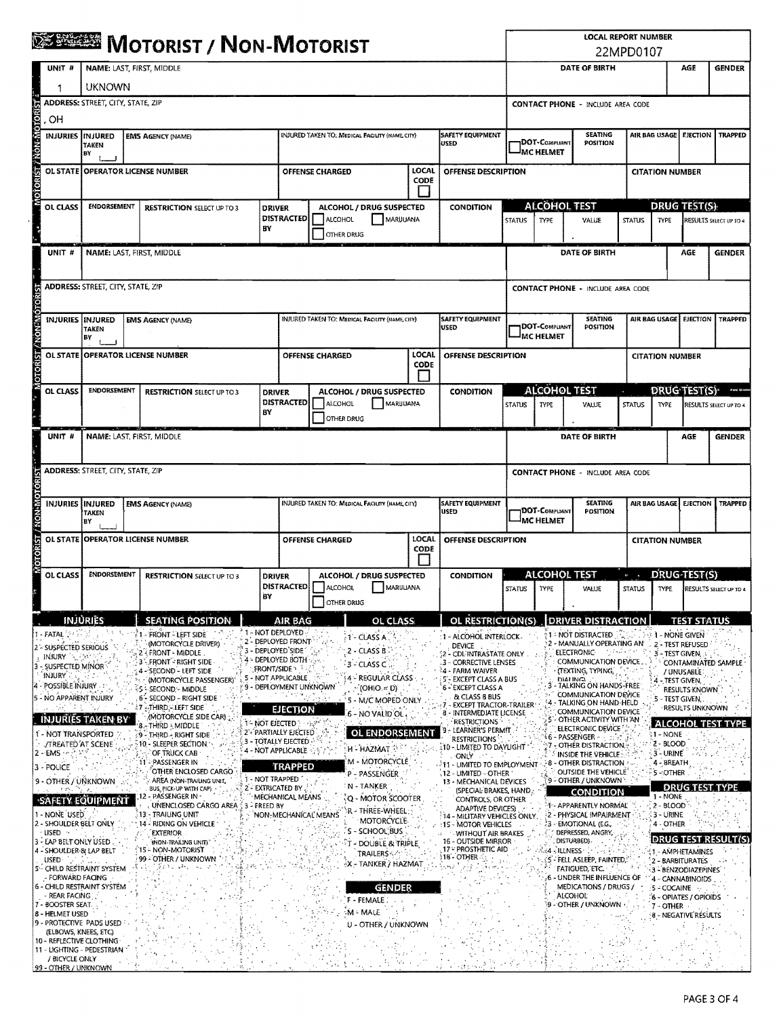| UNIT #<br>, OH<br><b>INJURIES INJURED</b><br>BY<br>OL CLASS                                | <b>UKNOWN</b><br><b>TAKEN</b>            | <b>EMS AGENCY (NAME)</b>                                                                               |                                                 |                                                                                  |                                                                       |                                                        |                             |                                                                                                                                                                                                          |                                                      |                                   |                                                                                                                |                                                      |                                          | AGE                                                                             | <b>GENDER</b>          |  |  |  |  |
|--------------------------------------------------------------------------------------------|------------------------------------------|--------------------------------------------------------------------------------------------------------|-------------------------------------------------|----------------------------------------------------------------------------------|-----------------------------------------------------------------------|--------------------------------------------------------|-----------------------------|----------------------------------------------------------------------------------------------------------------------------------------------------------------------------------------------------------|------------------------------------------------------|-----------------------------------|----------------------------------------------------------------------------------------------------------------|------------------------------------------------------|------------------------------------------|---------------------------------------------------------------------------------|------------------------|--|--|--|--|
|                                                                                            |                                          |                                                                                                        |                                                 |                                                                                  | <b>SEREER MOTORIST / NON-MOTORIST</b><br>NAME: LAST, FIRST, MIDDLE    |                                                        |                             |                                                                                                                                                                                                          |                                                      |                                   |                                                                                                                | 22MPD0107<br>DATE OF BIRTH                           |                                          |                                                                                 |                        |  |  |  |  |
|                                                                                            |                                          |                                                                                                        |                                                 | ADDRESS: STREET, CITY, STATE, ZIP                                                |                                                                       |                                                        |                             |                                                                                                                                                                                                          |                                                      |                                   |                                                                                                                |                                                      | <b>CONTACT PHONE - INCLUDE AREA CODE</b> |                                                                                 |                        |  |  |  |  |
|                                                                                            |                                          |                                                                                                        |                                                 |                                                                                  |                                                                       |                                                        |                             |                                                                                                                                                                                                          |                                                      |                                   |                                                                                                                |                                                      | AIR BAG USAGE                            |                                                                                 |                        |  |  |  |  |
|                                                                                            |                                          |                                                                                                        | INJURED TAKEN TO: MEDICAL FACILITY (NAME, CITY) |                                                                                  |                                                                       |                                                        |                             | SAFETY EQUIPMENT<br>USED                                                                                                                                                                                 |                                                      | DOT-COMPLIANT<br><b>MC HELMET</b> | <b>SEATING</b>                                                                                                 | <b>POSITION</b>                                      |                                          | <b>EJECTION</b>                                                                 | <b>TRAPPED</b>         |  |  |  |  |
|                                                                                            |                                          | OL STATE OPERATOR LICENSE NUMBER                                                                       |                                                 |                                                                                  | <b>OFFENSE CHARGED</b>                                                |                                                        | <b>LOCAL</b><br>CODE        | OFFENSE DESCRIPTION                                                                                                                                                                                      |                                                      |                                   |                                                                                                                | <b>CITATION NUMBER</b>                               |                                          |                                                                                 |                        |  |  |  |  |
|                                                                                            | <b>ENDORSEMENT</b>                       | <b>RESTRICTION SELECT UP TO 3</b>                                                                      |                                                 | <b>DRIVER</b>                                                                    |                                                                       | ALCOHOL / DRUG SUSPECTED                               |                             | CONDITION                                                                                                                                                                                                |                                                      |                                   | <b>ALCOHOL TEST</b>                                                                                            |                                                      |                                          | <b>DRUG TEST(S):</b>                                                            |                        |  |  |  |  |
|                                                                                            |                                          |                                                                                                        |                                                 | <b>DISTRACTED</b><br>BY                                                          | ALCOHOL                                                               | MARUUANA<br>OTHER DRUG                                 |                             |                                                                                                                                                                                                          | <b>STATUS</b>                                        | <b>TYPE</b>                       | VALUE                                                                                                          | <b>STATUS</b>                                        | <b>TYPE</b>                              |                                                                                 | RESULTS SELECT UP TO 4 |  |  |  |  |
| UNIT #                                                                                     |                                          | NAME: LAST, FIRST, MIDDLE                                                                              |                                                 |                                                                                  |                                                                       |                                                        |                             |                                                                                                                                                                                                          |                                                      |                                   | DATE OF BIRTH                                                                                                  |                                                      |                                          | AGE                                                                             | <b>GENDER</b>          |  |  |  |  |
|                                                                                            | <b>ADDRESS: STREET, CITY, STATE, ZIP</b> |                                                                                                        |                                                 |                                                                                  |                                                                       |                                                        |                             |                                                                                                                                                                                                          |                                                      |                                   | <b>CONTACT PHONE - INCLUDE AREA CODE</b>                                                                       |                                                      |                                          |                                                                                 |                        |  |  |  |  |
| <b>INJURIES INJURED</b>                                                                    |                                          | <b>EMS AGENCY (NAME)</b>                                                                               |                                                 |                                                                                  |                                                                       | INJURED TAKEN TO: MEDICAL FACILITY (NAME CITY)         |                             | <b>SAFETY EQUIPMENT</b><br><b>USED</b>                                                                                                                                                                   |                                                      |                                   | <b>SEATING</b>                                                                                                 |                                                      | AIR BAG USAGE                            | <b>EJECTION</b>                                                                 | TRAPPED                |  |  |  |  |
|                                                                                            | <b>TAKEN</b><br>BY                       |                                                                                                        |                                                 |                                                                                  |                                                                       |                                                        |                             |                                                                                                                                                                                                          | DOT-COMPLIANT<br><b>POSITION</b><br><b>MC HELMET</b> |                                   |                                                                                                                |                                                      |                                          |                                                                                 |                        |  |  |  |  |
|                                                                                            | OL STATE OPERATOR LICENSE NUMBER         |                                                                                                        |                                                 |                                                                                  | <b>LOCAL</b><br>OFFENSE DESCRIPTION<br><b>OFFENSE CHARGED</b><br>CODE |                                                        |                             |                                                                                                                                                                                                          |                                                      |                                   |                                                                                                                | <b>CITATION NUMBER</b>                               |                                          |                                                                                 |                        |  |  |  |  |
| OL CLASS                                                                                   | ENDORSEMENT                              | <b>RESTRICTION SELECT UP TO 3</b>                                                                      |                                                 | <b>DRIVER</b><br><b>DISTRACTED</b><br>BΥ                                         | ALCOHOL                                                               | ALCOHOL / DRUG SUSPECTED<br>MARUUANA<br>OTHER DRUG     |                             | <b>CONDITION</b>                                                                                                                                                                                         | <b>STATUS</b>                                        | <b>TYPE</b>                       | <b>ALCOHOL TEST</b><br>VALUE                                                                                   | <b>STATUS</b>                                        | TYPE                                     | <b>DRUG TEST(S)</b>                                                             | RESULTS SELECT UP TO 4 |  |  |  |  |
| UNIT #                                                                                     | NAME: LAST, FIRST, MIDDLE                |                                                                                                        |                                                 |                                                                                  |                                                                       |                                                        |                             | DATE OF BIRTH                                                                                                                                                                                            |                                                      |                                   |                                                                                                                |                                                      | AGE                                      | <b>GENDER</b>                                                                   |                        |  |  |  |  |
|                                                                                            | <b>ADDRESS: STREET, CITY, STATE, ZIP</b> |                                                                                                        |                                                 |                                                                                  |                                                                       |                                                        |                             |                                                                                                                                                                                                          |                                                      |                                   | <b>CONTACT PHONE - INCLUDE AREA CODE</b>                                                                       |                                                      |                                          |                                                                                 |                        |  |  |  |  |
| <b>INJURIES</b><br>BY                                                                      | INJURED<br><b>TAKEN</b>                  | <b>EMS AGENCY (NAME)</b>                                                                               |                                                 |                                                                                  |                                                                       | <b>INJURED TAKEN TO: MEDICAL FACILITY (NAME, CITY)</b> |                             | <b>SAFETY EQUIPMENT</b><br><b>USED</b>                                                                                                                                                                   |                                                      | DOT-Compuant<br><b>MC HELMET</b>  | <b>SEATING</b><br>POSITION                                                                                     |                                                      | AIR BAG USAGE                            | <b>EJECTION</b>                                                                 | <b>TRAPPED</b>         |  |  |  |  |
|                                                                                            |                                          | OL STATE OPERATOR LICENSE NUMBER                                                                       |                                                 |                                                                                  | <b>OFFENSE CHARGED</b>                                                |                                                        | <b>LOCAL</b><br><b>CODE</b> | OFFENSE DESCRIPTION                                                                                                                                                                                      |                                                      |                                   |                                                                                                                |                                                      | <b>CITATION NUMBER</b>                   |                                                                                 |                        |  |  |  |  |
| OL CLASS                                                                                   | <b>ENDORSEMENT</b>                       | <b>RESTRICTION SELECT UP TO 3</b>                                                                      |                                                 | <b>DRIVER</b><br><b>DISTRACTED</b><br>BY                                         | ALCOHOL                                                               | ALCOHOL / DRUG SUSPECTED<br>MARIJUANA<br>OTHER DRUG    |                             | <b>CONDITION</b>                                                                                                                                                                                         | <b>STATUS</b>                                        | TYPE                              | <b>ALCOHOL TEST</b><br>VALUE                                                                                   | $\Theta = -\pi$<br><b>STATUS</b>                     | TYPE                                     | DRUG-TEST(S)                                                                    | RESULTS SELECT UP TO 4 |  |  |  |  |
| <b>INJURIES</b>                                                                            |                                          | <b>SEATING POSITION</b>                                                                                |                                                 | AIR BAG                                                                          |                                                                       | OL CLASS                                               |                             | OL RESTRICTION(S)                                                                                                                                                                                        |                                                      |                                   | DRIVER DISTRACTION                                                                                             |                                                      |                                          | <b>TEST STATUS</b>                                                              |                        |  |  |  |  |
| i - FATAL<br>2 - SUSPECTED SERIOUS<br>INJURY <b>A</b>                                      |                                          | I - FRONT - LEFT SIDE<br>(MOTORCYCLE DRIVER)<br>FRONT - MIDDLE<br>3 FRONT - RIGHT SIDE                 |                                                 | 1 - NOT DEPLOYED<br>2 - DEPLOYED FRONT<br>3 - DEPLOYED SIDE<br>4 - DEPLOYED BOTH |                                                                       | $-1$ - CLASS A<br>2 - CLASS B<br>3 - CLASS C           |                             | : 1 - ALCOHOL INTERLOCK<br>DEVICE<br>2 - CDL INTRASTATE ONLY<br>.3 - CORRECTIVE LENSES                                                                                                                   |                                                      |                                   | 1 - NOT DISTRACTED<br>2 - MANUALLY OPERATING AN'<br><b>ELECTRONIC-</b><br>COMMUNICATION DEVICE                 | ាក់ទាំងជើងជា                                         |                                          | 1 - NONE GIVEN<br>2 - TEST REFUSED<br>$3 - TEST$ GIVEN, $\therefore$            | CONTAMINATED SAMPLE    |  |  |  |  |
| 3 - SUSPECTED MINOR<br>INJURY.<br>4 - POSSIBLE INJURY                                      |                                          | 4 - SECOND - LEFT SIDE<br>(MOTORCYCLE PASSENGER)<br>S - SECOND - MIDDLE                                |                                                 | <b>FRONT/SIDE</b><br>5 - NOT APPLICABLE<br>9 - DEPLOYMENT UNKNOWN                |                                                                       | 4 - REGULAR CLASS<br>$(OHIO = D)$                      |                             | ∛4 - FARM WAIVER<br>5'- EXCEPT CLASS A BUS<br><b>6 - EXCEPT CLASS A</b>                                                                                                                                  |                                                      |                                   | (TEXTING, TYPING,<br><b>DIALING</b><br>- TALKING ON HANDS-FREE<br>COMMUNICATION DEVICE                         |                                                      |                                          | / UNUSABLE:<br>- TEST GIVEN,<br><b>RESULTS-KNOWN</b>                            |                        |  |  |  |  |
| 5 - NO APPARENT INJURY<br><b>INJURIES TAKEN BY</b>                                         |                                          | 6 - SECOND - RIGHT SIDE<br><b>A7 - THIRD. LLEFT SIDE</b><br>(MOTORCYCLE SIDE CAR)<br>8. THIRD : MIDDLE |                                                 | EJECTION<br><b>14 NOT EJECTED : 14 200 15</b>                                    |                                                                       | 5 - M/C MOPED ONLY<br>6 - NO VALID OL                  |                             | & CLASS B BUS<br>- EXCEPT TRACTOR-TRAILER<br>8 - INTERMEDIATE LICENSE<br><b>RESTRICTIONS</b>                                                                                                             |                                                      |                                   | 4 - TALKING ON HAND-HELD<br>COMMUNICATION DEVICE<br>5 - OTHER ACTIVITY WITH AN                                 |                                                      |                                          | 5 - TEST GIVEN,<br>RESULTS UNKNOWN<br><b>ALCOHOL TEST T</b>                     |                        |  |  |  |  |
| 1 - NOT TRANSPORTED<br>JTREATED AT SCENE<br>2 - EMS                                        |                                          | 9 - THIRD - RIGHT SIDE<br>10 - SLEEPER SECTION<br>OF TRUCK CAB                                         |                                                 | 2'- PARTIALLY EJECTED<br>3 - TOTALLY EJECTED<br>4 - Not applicable only          |                                                                       | <b>OL ENDORSEMENT</b><br>H - HAZMAT                    |                             | LEARNER'S PERMIT<br><b>RESTRICTIONS</b><br>10 - LIMITED TO DAYLIGHT<br>ONLY                                                                                                                              |                                                      |                                   | ELECTRONIC DEVICE<br>(6 – PASSENGER + + - ታንድ<br>- OTHER DISTRACTION.<br>INSIDE THE VEHICLE:                   |                                                      | ុ1 - NONE<br>$2 - BLOOD$<br>3 - URINE    |                                                                                 |                        |  |  |  |  |
| 3 - POLICE<br>9 - OTHER / UNKNOWN                                                          |                                          | <b>PASSENGER IN</b><br>OTHER ENCLOSED CARGO<br>AREA (NON-TRAILING UNIT,                                |                                                 | <b>TRAPPED</b><br>1 - NOT TRAPPED                                                |                                                                       | M - MOTORCYCLE<br>P - PASSENGER<br>: N - TANKER        |                             | $\cdot$ $11$ - Limited to employment.<br>12 - LIMITED - OTHER<br>13 - MECHANICAL DEVICES                                                                                                                 |                                                      |                                   | <b>3 - OTHER DISTRACTION</b><br><b>OUTSIDE THE VEHICLE</b><br>9 - OTHER / UNKNOWN :                            |                                                      | 4 - BREATH<br>5-OTHER                    |                                                                                 |                        |  |  |  |  |
| ਤ ਅਤੇ ਇਹ ਨਾਟ<br><b>SAFETY EQUIPMENT</b><br>1 - NONE USED                                   |                                          | BUS, PICK-UP WITH CAP)<br>2 - PASSENGER IN ·<br>UNENCLOSED CARGO AREA<br>-13: - TRAILING UNIT          | 3 - FREED BY                                    | 2 - EXTRICATED BY<br>MECHANICAL MEANS<br>NON-MECHANICAL MEANS                    |                                                                       | Q - MOTOR SCOOTER<br>R - THREE-WHEEL                   |                             | (SPECIAL BRAKES, HAND.<br>CONTROLS, OR OTHER<br><b>ADAPTIVE DEVICES)</b>                                                                                                                                 |                                                      |                                   | <b>CONDITION</b><br>1 - APPARENTLY NORMAL                                                                      |                                                      | 1 - NONE<br>$2 - BLOOD$                  | <b>DRUG TEST</b>                                                                |                        |  |  |  |  |
| 2 - SHOULDER BELT ONLY<br>√ USED<br>3 - LAP BELT ONLY USED                                 |                                          | 14 - RIDING ON VEHICLE<br><b>EXTERIOR</b><br>(NON-TRAILING UNIT)                                       |                                                 |                                                                                  |                                                                       | MOTORCYCLE-<br>S - SCHOOL BUS<br>T - DOUBLE & TRIPLE   |                             | 2 - PHYSICAL IMPAIRMENT<br>: 14 - MILITARY VEHICLES ONLY.<br>3 - EMOTIONAL (E.G.,<br>:15 - MOTOR VEHICLES<br>DEPRESSED, ANGRY,<br><b>WITHOUT AIR BRAKES</b><br><b>16 - OUTSIDE MIRROR</b><br>DISTURBED). |                                                      |                                   |                                                                                                                | 3 - URINE<br>4 - OTHER<br><b>DRUG TEST RESULT(S)</b> |                                          |                                                                                 |                        |  |  |  |  |
| 4 - SHOULDER & LAP BELT<br><b>USED</b><br>5 - CHILD RESTRAINT SYSTEM<br>- FORWARD FACING   |                                          | 15 - NON-MOTORIST<br>99 - OTHER / UNKNOWN                                                              |                                                 |                                                                                  |                                                                       | <b>TRAILERS</b> 4.75<br>X - TANKER / HAZMAT<br>75 L    |                             | 17 - PROSTHETIC AID<br>18 - OTHER                                                                                                                                                                        |                                                      |                                   | ⊱4 - ILLNESS<br>295-4060<br>(S - FELL ASLEEP, FAINTED).<br><b>FATIGUED, ETC.</b><br>6 - UNDER THE INFLUENCE OF |                                                      |                                          | 1 - AMPHETAMINES<br>2 - BARBITURATES<br>3 - BENZODIAZEPINES<br>4 - CANNABINOIDS |                        |  |  |  |  |
| <b>6 - CHILD RESTRAINT SYSTEM</b><br>- REAR FACING<br>7 - BOOSTER SEAT.<br>8 - HELMET USED |                                          |                                                                                                        |                                                 |                                                                                  |                                                                       | <b>GENDER</b><br>F - FEMALE :<br>M - MALE              |                             |                                                                                                                                                                                                          |                                                      |                                   | MEDICATIONS / DRUGS /<br><b>ALCOHOL</b><br>9 - OTHER / UNKNOWN                                                 |                                                      | 5 - COCAINE<br>7 - OTHER                 | 6 - OPIATES / OPIOIDS<br>8 - NEGATIVE RESULTS                                   |                        |  |  |  |  |